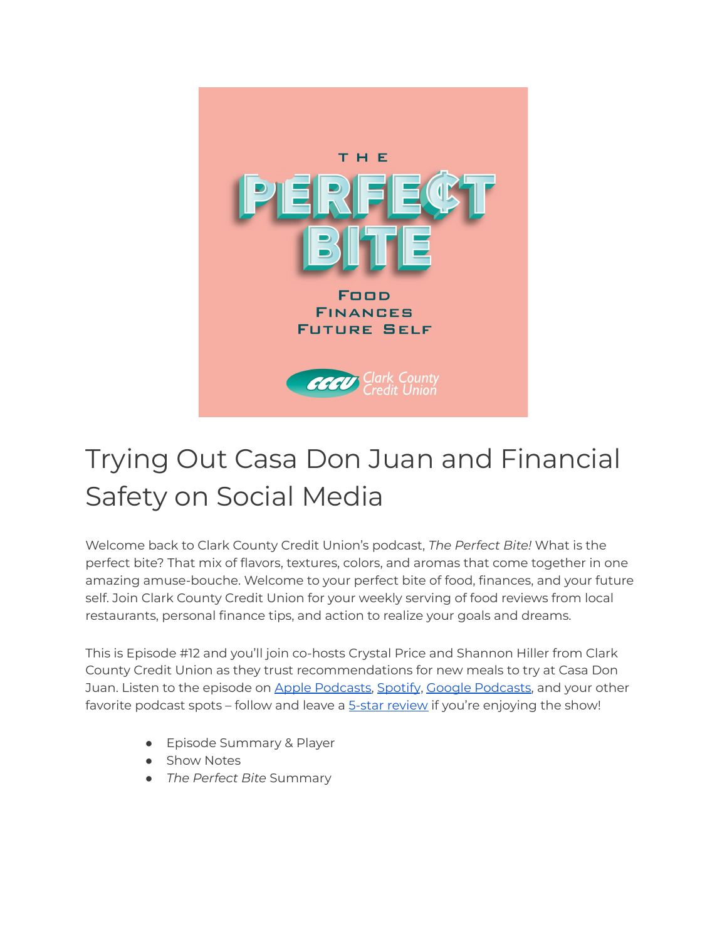

# Trying Out Casa Don Juan and Financial Safety on Social Media

Welcome back to Clark County Credit Union's podcast, *The Perfect Bite!* What is the perfect bite? That mix of flavors, textures, colors, and aromas that come together in one amazing amuse-bouche. Welcome to your perfect bite of food, finances, and your future self. Join Clark County Credit Union for your weekly serving of food reviews from local restaurants, personal finance tips, and action to realize your goals and dreams.

This is Episode #12 and you'll join co-hosts Crystal Price and Shannon Hiller from Clark County Credit Union as they trust recommendations for new meals to try at Casa Don Juan. Listen to the episode on Apple [Podcasts,](https://podcasts.google.com/feed/aHR0cHM6Ly9wZXJmZWN0Yml0ZS5saWJzeW4uY29tL3Jzcw?sa=X&ved=0CAMQ4aUDahcKEwi47ZHlgPP1AhUAAAAAHQAAAAAQRA) [Spotify](https://open.spotify.com/show/7tNPJZBNHabGWEFmjnHaxR?si=a0a7808911264628), Google Podcasts, and your other favorite podcast spots - follow and leave a **5-star [review](https://podcasts.apple.com/us/podcast/the-perfect-bite/id1604656448)** if you're enjoying the show!

- Episode Summary & Player
- Show Notes
- *The Perfect Bite* Summary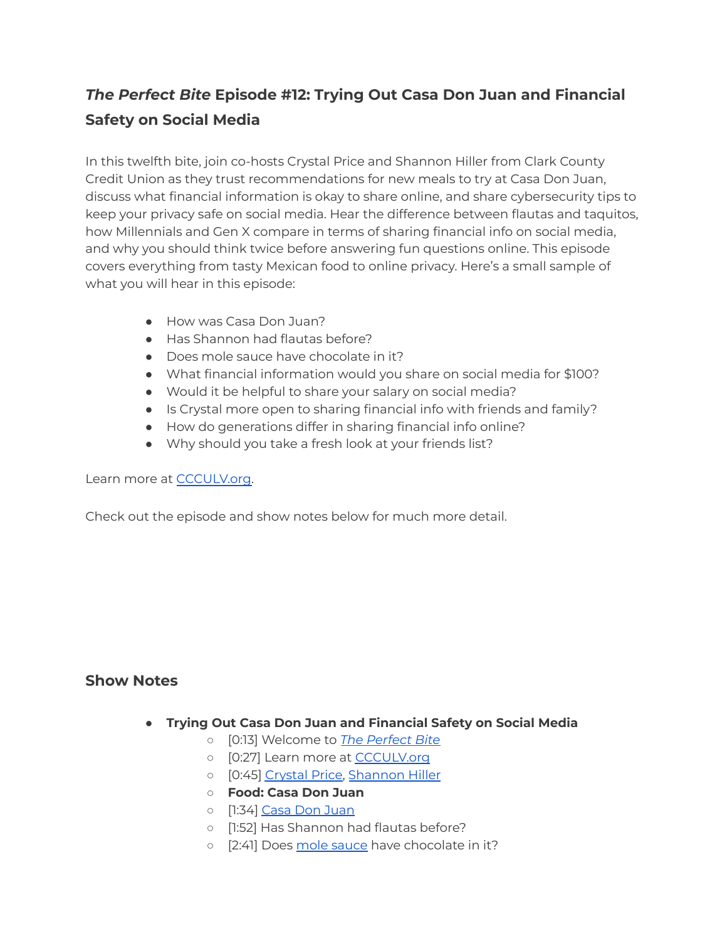## *The Perfect Bite* **Episode #12: Trying Out Casa Don Juan and Financial Safety on Social Media**

In this twelfth bite, join co-hosts Crystal Price and Shannon Hiller from Clark County Credit Union as they trust recommendations for new meals to try at Casa Don Juan, discuss what financial information is okay to share online, and share cybersecurity tips to keep your privacy safe on social media. Hear the difference between flautas and taquitos, how Millennials and Gen X compare in terms of sharing financial info on social media, and why you should think twice before answering fun questions online. This episode covers everything from tasty Mexican food to online privacy. Here's a small sample of what you will hear in this episode:

- How was Casa Don Juan?
- Has Shannon had flautas before?
- Does mole sauce have chocolate in it?
- What financial information would you share on social media for \$100?
- Would it be helpful to share your salary on social media?
- Is Crystal more open to sharing financial info with friends and family?
- How do generations differ in sharing financial info online?
- Why should you take a fresh look at your friends list?

#### Learn more at [CCCULV.org.](https://www.ccculv.org/)

Check out the episode and show notes below for much more detail.

#### **Show Notes**

- **Trying Out Casa Don Juan and Financial Safety on Social Media**
	- [0:13] Welcome to *[The Perfect Bite](https://www.ccculv.org/)*
	- o [0:27] Learn more at [CCCULV.org](https://www.ccculv.org/)
	- [0:45] [Crystal Price,](https://www.ccculv.org/Our-Mission.aspx) [Shannon Hiller](https://www.ccculv.org/Our-Mission.aspx)
	- **○ Food: Casa Don Juan**
	- [1:34] [Casa Don Juan](https://www.casadonjuanlv.com/)
	- [1:52] Has Shannon had flautas before?
	- [2:41] Does [mole sauce](https://en.wikipedia.org/wiki/Mole_(sauce)) have chocolate in it?